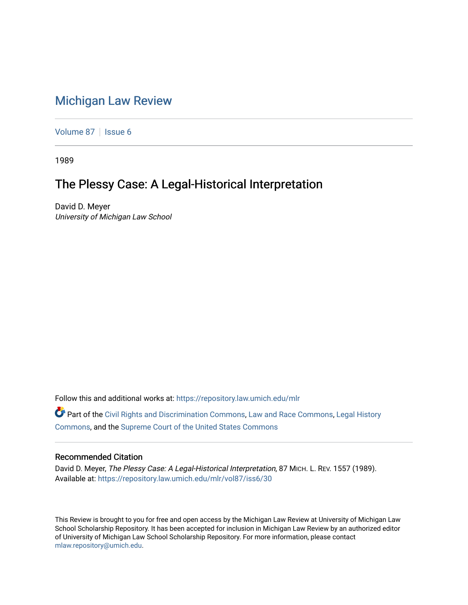## [Michigan Law Review](https://repository.law.umich.edu/mlr)

[Volume 87](https://repository.law.umich.edu/mlr/vol87) | [Issue 6](https://repository.law.umich.edu/mlr/vol87/iss6)

1989

## The Plessy Case: A Legal-Historical Interpretation

David D. Meyer University of Michigan Law School

Follow this and additional works at: [https://repository.law.umich.edu/mlr](https://repository.law.umich.edu/mlr?utm_source=repository.law.umich.edu%2Fmlr%2Fvol87%2Fiss6%2F30&utm_medium=PDF&utm_campaign=PDFCoverPages) 

Part of the [Civil Rights and Discrimination Commons,](http://network.bepress.com/hgg/discipline/585?utm_source=repository.law.umich.edu%2Fmlr%2Fvol87%2Fiss6%2F30&utm_medium=PDF&utm_campaign=PDFCoverPages) [Law and Race Commons,](http://network.bepress.com/hgg/discipline/1300?utm_source=repository.law.umich.edu%2Fmlr%2Fvol87%2Fiss6%2F30&utm_medium=PDF&utm_campaign=PDFCoverPages) [Legal History](http://network.bepress.com/hgg/discipline/904?utm_source=repository.law.umich.edu%2Fmlr%2Fvol87%2Fiss6%2F30&utm_medium=PDF&utm_campaign=PDFCoverPages)  [Commons](http://network.bepress.com/hgg/discipline/904?utm_source=repository.law.umich.edu%2Fmlr%2Fvol87%2Fiss6%2F30&utm_medium=PDF&utm_campaign=PDFCoverPages), and the [Supreme Court of the United States Commons](http://network.bepress.com/hgg/discipline/1350?utm_source=repository.law.umich.edu%2Fmlr%2Fvol87%2Fiss6%2F30&utm_medium=PDF&utm_campaign=PDFCoverPages) 

## Recommended Citation

David D. Meyer, The Plessy Case: A Legal-Historical Interpretation, 87 MICH. L. REV. 1557 (1989). Available at: [https://repository.law.umich.edu/mlr/vol87/iss6/30](https://repository.law.umich.edu/mlr/vol87/iss6/30?utm_source=repository.law.umich.edu%2Fmlr%2Fvol87%2Fiss6%2F30&utm_medium=PDF&utm_campaign=PDFCoverPages) 

This Review is brought to you for free and open access by the Michigan Law Review at University of Michigan Law School Scholarship Repository. It has been accepted for inclusion in Michigan Law Review by an authorized editor of University of Michigan Law School Scholarship Repository. For more information, please contact [mlaw.repository@umich.edu.](mailto:mlaw.repository@umich.edu)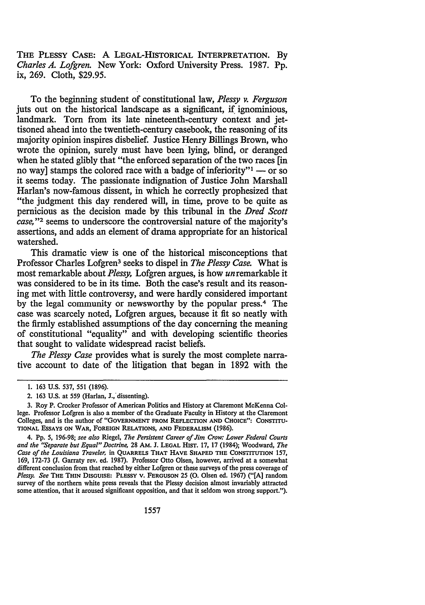THE PLESSY CASE: A LEGAL-HISTORICAL INTERPRETATION. By *Charles A. Lofgren.* New York: Oxford University Press. 1987. Pp. ix, 269. Cloth, \$29.95.

To the beginning student of constitutional law, *Plessy v. Ferguson*  juts out on the historical landscape as a significant, if ignominious, landmark. Torn from its late nineteenth-century context and iettisoned ahead into the twentieth-century casebook, the reasoning of its majority opinion inspires disbelief. Justice Henry Billings Brown, who wrote the opinion, surely must have been lying, blind, or deranged when he stated glibly that "the enforced separation of the two races [in no way] stamps the colored race with a badge of inferiority" $1 -$  or so it seems today. The passionate indignation of Justice John Marshall Harlan's now-famous dissent, in which he correctly prophesized that "the judgment this day rendered will, in time, prove to be quite as pernicious as the decision made by this tribunal in the *Dred Scott case*,"<sup>2</sup> seems to underscore the controversial nature of the majority's assertions, and adds an element of drama appropriate for an historical watershed.

This dramatic view is one of the historical misconceptions that Professor Charles Lofgren3 seeks to dispel in *The Plessy Case.* What is most remarkable about *Plessy,* Lofgren argues, is how unremarkable it was considered to be in its time. Both the case's result and its reasoning met with little controversy, and were hardly considered important by the legal community or newsworthy by the popular press.<sup>4</sup> The case was scarcely noted, Lofgren argues, because it fit so neatly with the firmly established assumptions of the day concerning the meaning of constitutional "equality" and with developing scientific theories that sought to validate widespread racist beliefs.

*The Plessy Case* provides what is surely the most complete narrative account to date of the litigation that began in 1892 with the

<sup>1.</sup> 163 U.S. 537, 551 (1896).

<sup>2. 163</sup> U.S. at 559 (Harlan, J.; dissenting).

<sup>3.</sup> Roy P. Crocker Professor of American Politics and History at Claremont McKenna College. Professor Lofgren is also a member of the Graduate Faculty in History at the Claremont Colleges, and is the author of "GOVERNMENT FROM REFLECTION AND CHOICE": CONSTITU-TIONAL EssAYS ON WAR, FOREIGN RELATIONS, AND FEDERALISM (1986).

<sup>4.</sup> Pp. 5, 196-98; *see also* Riegel, *The Persistent Career of Jim Crow: Lower Federal Courts and the ''Separate but Equal" Doctrine,* 28 AM. J. LEGAL HIST. 17, 17 (1984); Woodward, *The Case of the Louisiana Traveler,* in QUARRELS THAT HAVE SHAPED THE CONSTITUTION 157, 169, 172-73 (J. Garraty rev. ed. 1987). Professor Otto Olsen, however, arrived at a somewhat different conclusion from that reached by either Lofgren or these surveys of the press coverage of *Plessy. See* THE THIN DISGUISE: PLESSY v. FERGUSON 25 (0. Olsen ed. 1967) ("[A] random survey of the northern white press reveals that the Plessy decision almost invariably attracted some attention, that it aroused significant opposition, and that it seldom won strong support.").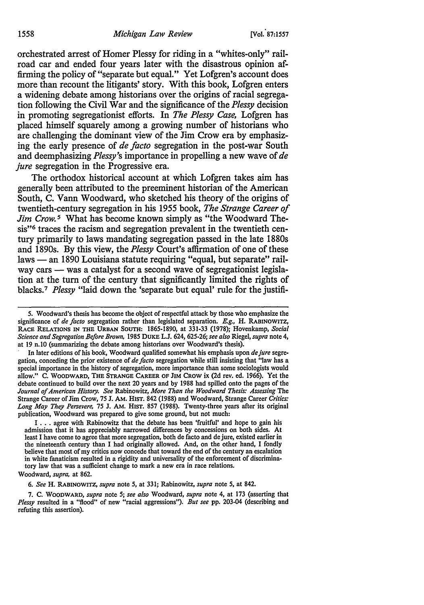orchestrated arrest of Homer Plessy for riding in a "whites-only" railroad car and ended four years later with the disastrous opinion affirming the policy of "separate but equal." Yet Lofgren's account does more than recount the litigants' story. With this book, Lofgren enters a widening debate among historians over the origins of racial segregation following the Civil War and the significance of the *Plessy* decision in promoting segregationist efforts. In *The Plessy Case,* Lofgren has placed himself squarely among a growing number of historians who are challenging the dominant view of the Jim Crow era by emphasizing the early presence of *de facto* segregation in the post-war South and deemphasizing *Plessy's* importance in propelling a new wave of *de jure* segregation in the Progressive era.

The orthodox historical account at which Lofgren takes aim has generally been attributed to the preeminent historian of the American South, C. Vann Woodward, who sketched his theory of the origins of twentieth-century segregation in his 1955 book, *The Strange Career of Jim Crow.* 5 What has become known simply as "the Woodward Thesis"6 traces the racism and segregation prevalent in the twentieth century primarily to laws mandating segregation passed in the late 1880s and 1890s. By this view, the *Plessy* Court's affirmation of one of these laws — an 1890 Louisiana statute requiring "equal, but separate" railway cars — was a catalyst for a second wave of segregationist legislation at the turn of the century that significantly limited the rights of blacks. 7 *Plessy* "laid down the 'separate but equal' rule for the justifi-

I ... agree with Rabinowitz that the debate has been 'fruitful' and hope to gain his admission that it has appreciably narrowed differences by concessions on both sides. At least I have come to agree that more segregation, both de facto and de jure, existed earlier in the nineteenth century than I had originally allowed. And, on the other hand, I fondly believe that most of my critics now concede that toward the end of the century an escalation in white fanaticism resulted in a rigidity and universality of the enforcement of discriminatory law that was a sufficient change to mark a new era in race relations.

Woodward, *supra,* at 862.

6. *See* H. RABINOWITZ, *supra* note 5, at 331; Rabinowitz, *supra* note 5, at 842.

7. C. WOODWARD, *supra* note 5; *see also* Woodward, *supra* note 4, at 173 (asserting that *Plessy* resulted in a "flood" of new "racial aggressions"). *But see* pp. 203-04 (describing and refuting this assertion).

<sup>5.</sup> Woodward's thesis has become the object ofrespectful attack by those who emphasize the significance of *de facto* segregation rather than legislated separation. *E.g.,* H. RABINOWITZ, RACE RELATIONS IN THE URBAN SOUTH: 1865-1890, at 331-33 (1978); Hovenkamp, *Social Science and Segregation Before Brown,* 1985 DUKE L.J. 624, 625-26; *see also* Riegel, *supra* note 4, at 19 n.10 (summarizing the debate among historians over Woodward's thesis).

In later editions of his book, Woodward qualified somewhat his emphasis upon *dejure* segregation, conceding the prior existence of *de facto* segregation while still insisting that "law has a special importance in the history of segregation, more importance than some sociologists would allow." c. WOODWARD, THE STRANGE CAREER OF JIM CROW ix (2d rev. ed. 1966). Yet the debate continued to build over the next 20 years and by 1988 had spilled onto the pages of the *Journal of American History. See* Rabinowitz, *More Than the Woodward Thesis: Assessing* The Strange Career of Jim Crow, 75 J. AM. HIST. 842 (1988) and Woodward, Strange Career *Critics: Long May They Persevere, 15* J. AM. HIST. 857 (1988). Twenty-three years after its original publication, Woodward was prepared to give some ground, but not much: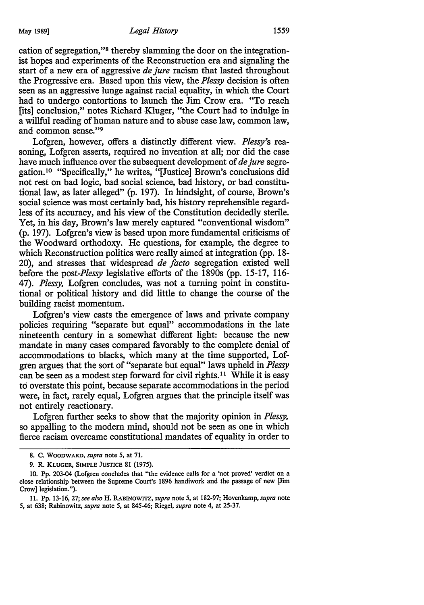cation of segregation,"8 thereby slamming the door on the integrationist hopes and experiments of the Reconstruction era and signaling the start of a new era of aggressive *de jure* racism that lasted throughout the Progressive era. Based upon this view, the *Plessy* decision is often seen as an aggressive lunge against racial equality, in which the Court had to undergo contortions to launch the Jim Crow era. "To reach [its] conclusion," notes Richard Kluger, "the Court had to indulge in a willful reading of human nature and to abuse case law, common law, and common sense."<sup>9</sup>

Lofgren, however, offers a distinctly different view. *Plessy's* reasoning, Lofgren asserts, required no invention at all; nor did the case have much influence over the subsequent development of *de jure* segregation.10 "Specifically," he writes, "[Justice] Brown's conclusions did not rest on bad logic, bad social science, bad history, or bad constitutional law, as later alleged" (p. 197). In hindsight, of course, Brown's social science was most certainly bad, his history reprehensible regardless of its accuracy, and his view of the Constitution decidedly sterile. Yet, in his day, Brown's law merely captured "conventional wisdom" (p. 197). Lofgren's view is based upon more fundamental criticisms of the Woodward orthodoxy. He questions, for example, the degree to which Reconstruction politics were really aimed at integration (pp. 18- 20), and stresses that widespread *de facto* segregation existed well before the *post-Plessy* legislative efforts of the 1890s (pp. 15-17, 116- 47). *Plessy,* Lofgren concludes, was not a turning point in constitutional or political history and did little to change the course of the building racist momentum.

Lofgren's view casts the emergence of laws and private company policies requiring "separate but equal" accommodations in the late nineteenth century in a somewhat different light: because the new mandate in many cases compared favorably to the complete denial of accommodations to blacks, which many at the time supported, Lofgren argues that the sort of "separate but equal" laws upheld in *Plessy*  can be seen as a modest step forward for civil rights.<sup>11</sup> While it is easy to overstate this point, because separate accommodations in the period were, in fact, rarely equal, Lofgren argues that the principle itself was not entirely reactionary.

Lofgren further seeks to show that the majority opinion in *Plessy,*  so appalling to the modem mind, should not be seen as one in which fierce racism overcame constitutional mandates of equality in order to

<sup>8.</sup> C. WOODWARD, *supra* note 5, at 71.

<sup>9.</sup> R. KLUGER, SIMPLE JUSTICE 81 (1975).

<sup>10.</sup> Pp. 203-04 (Lofgren concludes that "the evidence calls for a 'not proved' verdict on a close relationship between the Supreme Court's 1896 handiwork and the passage of new [Jim Crow] legislation.'').

<sup>11.</sup> Pp. 13-16, 27; *see also* H. RABINOWITZ, *supra* note 5, at 182-97; Hovenkamp, *supra* note 5, at 638; Rabinowitz, *supra* note 5, at 845-46; Riegel, *supra* note 4, at 25-37.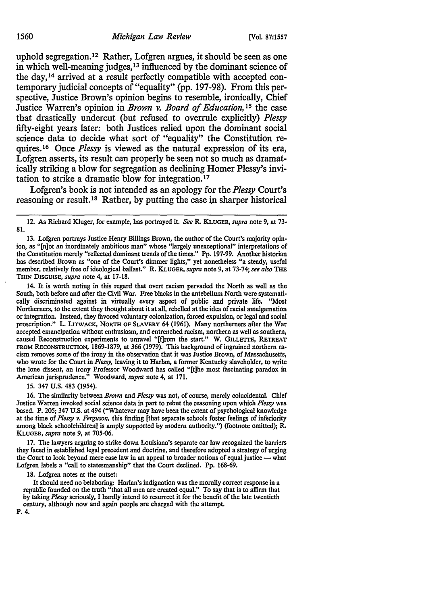uphold segregation.12 Rather, Lofgren argues, it should be seen as one in which well-meaning judges, 13 influenced by the dominant science of the day, 14 arrived at a result perfectly compatible with accepted contemporary judicial concepts of "equality" (pp. 197-98). From this perspective, Justice Brown's opinion begins to resemble, ironically, Chief Justice Warren's opinion in *Brown v. Board of Education,* 1*s* the case that drastically undercut (but refused to overrule explicitly) *Plessy*  fifty-eight years later: both Justices relied upon the dominant social science data to decide what sort of "equality" the Constitution requires.16 Once *Plessy* is viewed as the natural expression of its era, Lofgren asserts, its result can properly be seen not so much as dramatically striking a blow for segregation as declining Homer Plessy's invitation to strike a dramatic blow for integration.17

Lofgren's book is not intended as an apology for the *Plessy* Court's reasoning or result. 18 Rather, by putting the case in sharper historical

13. Lofgren portrays Justice Henry Billings Brown, the author of the Court's majority opinion, as "[n]ot an inordinately ambitious man" whose "largely unexceptional" interpretations of the Constitution merely "reflected dominant trends of the times." Pp. 197-99. Another historian has described Brown as "one of the Court's dimmer lights,'' yet nonetheless "a steady, useful member, relatively free of ideological ballast." R. KLUGER, *supra* note 9, at 73-74; *see also* THE THIN DISGUISE, *supra* note 4, at 17-18.

14. It is worth noting in this regard that overt racism pervaded the North as well as the South, both before and after the Civil War. Free blacks in the antebellum North were systemati· cally discriminated against in virtually every aspect of public and private life. "Most Northerners, to the extent they thought about it at all, rebelled at the idea of racial amalgamation or integration. Instead, they favored voluntary colonization, forced expulsion, or legal and social proscription." L. LITWACK, NORTH OF SLAVERY 64 (1961). Many northerners after the War accepted emancipation without enthusiasm, and entrenched racism, northern as well as southern, caused Reconstruction experiments to unravel "[f]rom the start." W. GILLEITE, RETREAT FROM RECONSTRUCTION, 1869-1879, at 366 (1979). This background of ingrained northern ra· cism removes some of the irony in the observation that it was Justice Brown, of Massachusetts, who wrote for the Court in *P/essy,* leaving it to Harlan, a former Kentucky slaveholder, to write the lone dissent, an irony Professor Woodward has called "[t]he most fascinating paradox in American jurisprudence." Woodward, *supra* note 4, at 171.

15. 347 U.S. 483 (1954).

16. The similarity between *Brown* and *Plessy* was not, of course, merely coincidental. Chief Justice Warren invoked social science data in part to rebut the reasoning upon which *Plessy* was based. P. 205; 347 U.S. at 494 ("Whatever may have been the extent of psychological knowledge at the time of *Plessy v. Ferguson,* this finding [that separate schools foster feelings of inferiority among black schoolchildren] is amply supported by modem authority.") (footnote omitted); R. KLUGER, *supra* note 9, at 705-06.

17. The lawyers arguing to strike down Louisiana's separate car law recognized the barriers they faced in established legal precedent and doctrine, and therefore adopted a strategy of urging the Court to look beyond mere case law in an appeal to broader notions of equal justice - what Lofgren labels a "call to statesmanship" that the Court declined. Pp. 168-69.

18. Lofgren notes at the outset:

It should need no belaboring: Harlan's indignation was the morally correct response in a republic founded on the truth "that all men are created equal." To say that is to affirm that by taking *Plessy* seriously, I hardly intend to resurrect it for the benefit of the late twentieth century, although now and again people are charged with the attempt.

P. 4.

<sup>12.</sup> As Richard Kluger, for example, has portrayed it. *See* R. KLUGER, *supra* note 9, at 73· 81.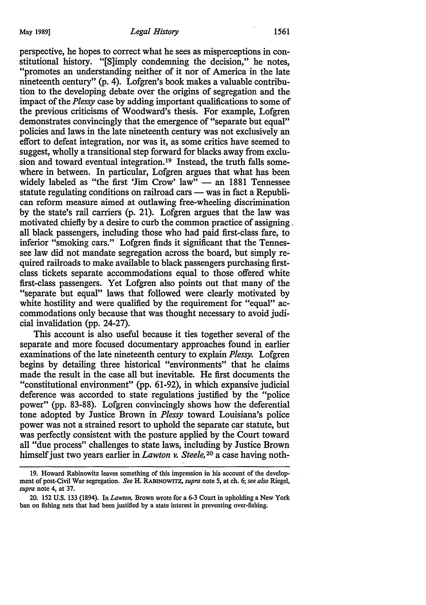perspective, he hopes to correct what he sees as misperceptions in constitutional history. "[S]imply condemning the decision," he notes, "promotes an understanding neither of it nor of America in the late nineteenth century" (p. 4). Lofgren's book makes a valuable contribution to the developing debate over the origins of segregation and the impact of the *Plessy* case by adding important qualifications to some of the previous criticisms of Woodward's thesis. For example, Lofgren demonstrates convincingly that the emergence of "separate but equal" policies and laws in the late nineteenth century was not exclusively an effort to defeat integration, nor was it, as some critics have seemed to suggest, wholly a transitional step forward for blacks away from exclusingseed, when I ammerican relation.<sup>19</sup> Instead, the truth falls somewhere in between. In particular, Lofgren argues that what has been widely labeled as "the first 'Jim Crow' law" - an 1881 Tennessee statute regulating conditions on railroad cars — was in fact a Republican reform measure aimed at outlawing free-wheeling discrimination by the state's rail carriers (p. 21). Lofgren argues that the law was motivated chiefly by a desire to curb the common practice of assigning . all black passengers, including those who had paid first-class fare, to inferior "smoking cars." Lofgren finds it significant that the Tennessee law did not mandate segregation across the board, but simply required railroads to make available to black passengers purchasing firstclass tickets separate accommodations equal to those offered white first-class passengers. Yet Lofgren also points out that many of the "separate but equal" laws that followed were clearly motivated by white hostility and were qualified by the requirement for "equal" accommodations only because that was thought necessary to avoid judicial invalidation (pp. 24-27).

This account is also useful because it ties together several of the separate and more focused documentary approaches found in earlier examinations of the late nineteenth century to explain *Plessy.* Lofgren begins by detailing three historical "environments" that he claims made the result in the case all but inevitable. He first documents the "constitutional environment" (pp. 61-92), in which expansive judicial deference was accorded to state regulations justified by the "police power" (pp. 83-88). Lofgren convincingly shows how the deferential tone adopted by Justice Brown in *Plessy* toward Louisiana's police power was not a strained resort to uphold the separate car statute, but was perfectly consistent with the posture applied by the Court toward all "due process" challenges to state laws, including by Justice Brown himself just two years earlier in *Lawton v. Steele,* 20 a case having noth-

<sup>19.</sup> Howard Rabinowitz leaves something of this impression in his account of the development of post-Civil War segregation. *See* H. RABINOWITZ, *supra* note *5,* at ch. 6; *see also* Riegel, *supra* note 4, at 37.

<sup>20. 152</sup> U.S. 133 (1894). In *Lawton,* Brown wrote for a 6-3 Court in upholding a New York ban on fishing nets that had been justified by a state interest in preventing over-fishing.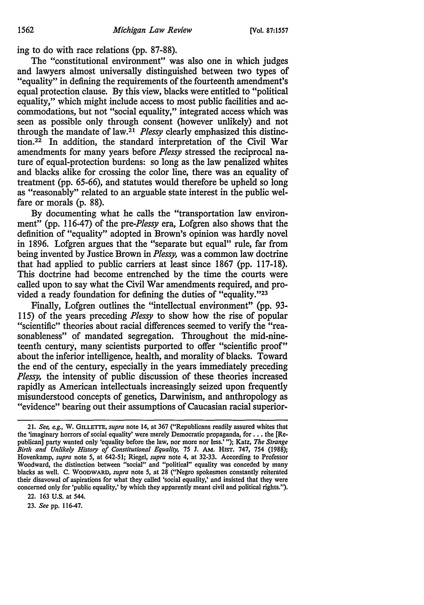ing to do with race relations (pp. 87-88).

The "constitutional environment" was also one in which judges and lawyers almost universally distinguished between two types of "equality" in defining the requirements of the fourteenth amendment's equal protection clause. By this view, blacks were entitled to "political equality," which might include access to most public facilities and accommodations, but not "social equality," integrated access which was seen as possible only through consent (however unlikely) and not through the mandate of law.21 *Plessy* clearly emphasized this distinction.22 In addition, the standard interpretation of the Civil War amendments for many years before *Plessy* stressed the reciprocal nature of equal-protection burdens: so long as the law penalized whites and blacks alike for crossing the color line, there was an equality of treatment (pp. 65-66), and statutes would therefore be upheld so long as "reasonably" related to an arguable state interest in the public welfare or morals (p. 88).

By documenting what he calls the "transportation law environment" (pp. 116-47) of the *pre-Plessy* era, Lofgren also shows that the definition of "equality" adopted in Brown's opinion was hardly novel in 1896. Lofgren argues that the "separate but equal" rule, far from being invented by Justice Brown in *Plessy,* was a common law doctrine that had applied to public carriers at least since 1867 (pp. 117-18). This doctrine had become entrenched by the time the courts were called upon to say what the Civil War amendments required, and provided a ready foundation for defining the duties of "equality."23

Finally, Lofgren outlines the "intellectual environment" (pp. 93- 115) of the years preceding *Plessy* to show how the rise of popular "scientific" theories about racial differences seemed to verify the "reasonableness" of mandated segregation. Throughout the mid-nineteenth century, many scientists purported to offer "scientific proof" about the inferior intelligence, health, and morality of blacks. Toward the end of the century, especially in the years immediately preceding *Plessy,* the intensity of public discussion of these theories increased rapidly as American intellectuals increasingly seized upon frequently misunderstood concepts of genetics, Darwinism, and anthropology as "evidence" bearing out their assumptions of Caucasian racial superior-

22. 163 U.S. at 544.

23. *See* pp. 116-47.

<sup>21.</sup> *See, e.g.,* W. GILLETTE, *supra* note 14, at 367 ("Republicans readily assured whites that the 'imaginary horrors of social equality' were merely Democratic propaganda, for  $\dots$  the [Republican] party wanted only 'equality before the law, nor more nor less.'"); Katz, *The Strange Birth and Unlikely History of Constitutional Equality,* 75 J. AM. HIST. 747, 754 (1988); Hovenkamp, *supra* note 5, at 642-51; Riegel, *supra* note 4, at 32-33. According to Professor Woodward, the distinction between "social" and "political" equality was conceded by many blacks as well. C. WOODWARD, *supra* note 5, at 28 ("Negro spokesmen constantly reiterated their disavowal of aspirations for what they called 'social equality,' and insisted that they were concerned only for 'public equality,' by which they apparently meant civil and political rights.").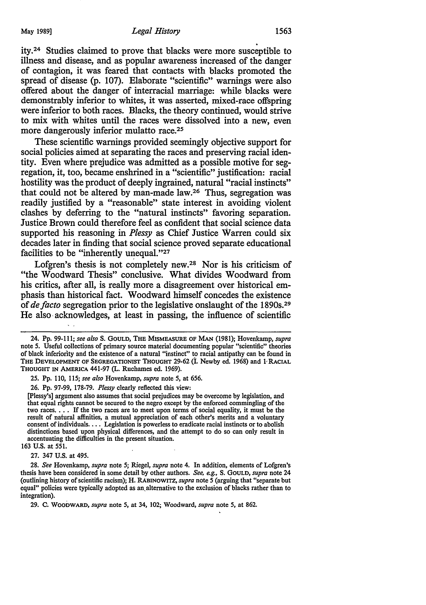ity.24 Studies claimed to prove that blacks were more susceptible to illness and disease, and as popular awareness increased of the danger of contagion, it was feared that contacts with blacks promoted the spread of disease (p. 107). Elaborate "scientific" warnings were also offered about the danger of interracial marriage: while blacks were demonstrably inferior to whites, it was asserted, mixed-race offspring were inferior to both races. Blacks, the theory continued, would strive to mix with whites until the races were dissolved into a new, even more dangerously inferior mulatto race.<sup>25</sup>

These scientific warnings provided seemingly objective support for social policies aimed at separating the races and preserving racial identity. Even where prejudice was admitted as a possible motive for segregation, it, too, became enshrined in a "scientific" justification: racial hostility was the product of deeply ingrained, natural "racial instincts" that could not be altered by man-made law.26 Thus, segregation was readily justified by a "reasonable" state interest in avoiding violent clashes by deferring to the "natural instincts" favoring separation. Justice Brown could therefore feel as confident that social science data supported his reasoning in *Plessy* as Chief Justice Warren could six decades later in finding that social science proved separate educational facilities to be "inherently unequal."27

Lofgren's thesis is not completely new.28 Nor is his criticism of "the Woodward Thesis" conclusive. What divides Woodward from his critics, after all, is really more a disagreement over historical emphasis than historical fact. Woodward himself concedes the existence of *de facto* segregation prior to the legislative onslaught of the 1890s.29 He also· acknowledges, at least in passing, the influence of scientific

25. Pp. 110, 115; *see also* Hovenkamp, *supra* note 5, at 656.

26. Pp. 97-99, 178-79. *Plessy* clearly reflected this view:

[Plessy's] argument also assumes that social prejudices may be overcome by legislation, and that equal rights cannot be secured to the negro except by the enforced commingling of the two races. • . • If the two races are to meet upon terms of social equality, it must be the result of natural affinities, a mutual appreciation of each other's merits and a voluntary consent of individuals. . . . Legislation is powerless to eradicate racial instincts or to abolish distinctions based upon physical differences, and the attempt to do so can only result in accentuating the difficulties in the present situation.

163 U.S. at 551.

27. 347 U.S. at 495.

28. *See* Hovenkamp, *supra* note 5; Riegel, *supra* note 4. In addition, elements of Lofgren's thesis have been considered in some detail by other authors. *See, e.g.,* S. GOULD, *supra* note 24 (outlining history of scientific racism); H. RABINOWITZ, *supra* note *5* (arguing that "separate but equal" policies were typically adopted as an, alternative to the exclusion of blacks rather than to integration).

29. C. WOODWARD, *supra* note 5, at 34, 102; Woodward, *supra* note 5, at 862.

<sup>24.</sup> Pp. 99-111; *see also* s. GOULD, THE MISMEASURE OF MAN (1981); Hovenkamp, *supra*  note 5. Useful collections of primary source material documenting popular "scientific" theories of black inferiority and the existence of a natural "instinct" to racial antipathy can be found in THE DEVELOPMENT OF SEGREGATIONIST THOUGHT 29-62 (I. Newby ed. 1968) and 1 RACIAL THOUGHT IN AMERICA 441-97 (L. Ruchames ed. 1969).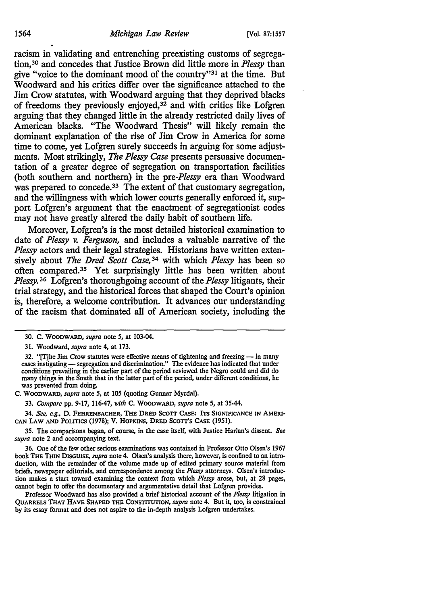racism in validating and entrenching preexisting customs of segregation, 30 and concedes that Justice Brown did little more in *Plessy* than give "voice to the dominant mood of the country"31 at the time. But Woodward and his critics differ over the significance attached to the Jim Crow statutes, with Woodward arguing that they deprived blacks of freedoms they previously enjoyed,<sup>32</sup> and with critics like Lofgren arguing that they changed little in the already restricted daily lives of American blacks. "The Woodward Thesis" will likely remain the dominant explanation of the rise of Jim Crow in America for some time to come, yet Lofgren surely succeeds in arguing for some adjustments. Most strikingly, *The Plessy Case* presents persuasive documentation of a greater degree of segregation on transportation facilities (both southern and northern) in the *pre-P/essy* era than Woodward was prepared to concede.<sup>33</sup> The extent of that customary segregation, and the willingness with which lower courts generally enforced it, support Lofgren's argument that the enactment of segregationist codes may not have greatly altered the daily habit of southern life.

Moreover, Lofgren's is the most detailed historical examination to date of *Plessy v. Ferguson,* and includes a valuable narrative of the *Plessy* actors and their legal strategies. Historians have written extensively about *The Dred Scott Case,* 34 with which *Plessy* has been so often compared. 35 Yet surprisingly little has been written about *Plessy.* 36 Lofgren's thoroughgoing account of the *Plessy* litigants, their trial strategy, and the historical forces that shaped the Court's opinion is, therefore, a welcome contribution. It advances our understanding of the racism that dominated all of American society, including the

C. WOODWARD, *supra* note 5, at 105 (quoting Gunnar Myrdal).

33. *Compare* pp. 9-17, 116-47, *with* C. WOODWARD, *supra* note 5, at 35-44.

34. See, e.g., D. FEHRENBACHER, THE DRED SCOTT CASE: ITS SIGNIFICANCE IN AMERI-CAN LAW AND POLITICS (1978); V. HOPKINS, DRED SCOTT'S CASE (1951).

35. The comparisons began, of course, in the case itself, with Justice Harlan's dissent. *See supra* note 2 and accompanying text.

36. One of the few other serious examinations was contained in Professor Otto Olsen's 1967 book THE THIN DISGUISE, *supra* note 4. Olsen's analysis there, however, is confined to an intro· duction, with the remainder of the volume made up of edited primary source material from briefs, newspaper editorials, and correspondence among the *P/essy* attorneys. Olsen's introduc· tion makes a start toward examining the context from which *Plessy* arose, but, at 28 pages, cannot begin to offer the documentary and argumentative detail that Lofgren provides.

Professor Woodward has also provided a brief historical account of the *P/essy* litigation in QUARRELS THAT HAVE SHAPED THE CoNSTITUTION, *supra* note 4. But it, too, is constrained by its essay format and does not aspire to the in-depth analysis Lofgren undertakes.

<sup>30.</sup> c. WOODWARD, *supra* note 5, at 103-04.

<sup>31.</sup> Woodward, *supra* note 4, at 173.

<sup>32. &</sup>quot;[T]he Jim Crow statutes were effective means of tightening and freezing - in many cases instigating - segregation and discrimination." The evidence has indicated that under conditions prevailing in the earlier part of the period reviewed the Negro could and did do many things in the South that in the latter part of the period, under different conditions, he was prevented from doing.